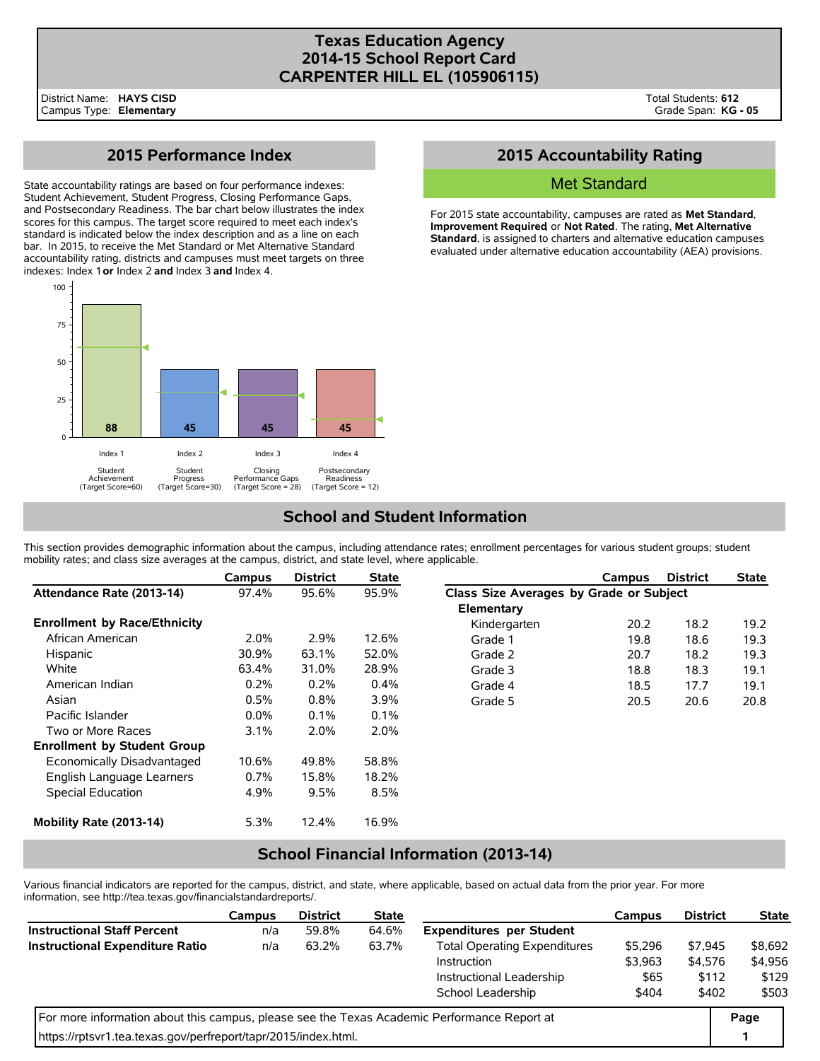# **Texas Education Agency 2014-15 School Report Card CARPENTER HILL EL (105906115)**

# **2015 Performance Index**

State accountability ratings are based on four performance indexes: Student Achievement, Student Progress, Closing Performance Gaps, and Postsecondary Readiness. The bar chart below illustrates the index scores for this campus. The target score required to meet each index's standard is indicated below the index description and as a line on each bar. In 2015, to receive the Met Standard or Met Alternative Standard accountability rating, districts and campuses must meet targets on three indexes: Index 1 **or** Index 2 **and** Index 3 **and** Index 4.



# **2015 Accountability Rating**

### Met Standard

For 2015 state accountability, campuses are rated as **Met Standard**, **Improvement Required**, or **Not Rated**. The rating, **Met Alternative Standard**, is assigned to charters and alternative education campuses evaluated under alternative education accountability (AEA) provisions.

# **School and Student Information**

This section provides demographic information about the campus, including attendance rates; enrollment percentages for various student groups; student mobility rates; and class size averages at the campus, district, and state level, where applicable.

|                                     | Campus  | <b>District</b> | <b>State</b> |                                         | Campus | <b>District</b> | <b>State</b> |  |
|-------------------------------------|---------|-----------------|--------------|-----------------------------------------|--------|-----------------|--------------|--|
| Attendance Rate (2013-14)           | 97.4%   | 95.6%           | 95.9%        | Class Size Averages by Grade or Subject |        |                 |              |  |
|                                     |         |                 |              | Elementary                              |        |                 |              |  |
| <b>Enrollment by Race/Ethnicity</b> |         |                 |              | Kindergarten                            | 20.2   | 18.2            | 19.2         |  |
| African American                    | 2.0%    | 2.9%            | 12.6%        | Grade 1                                 | 19.8   | 18.6            | 19.3         |  |
| Hispanic                            | 30.9%   | 63.1%           | 52.0%        | Grade 2                                 | 20.7   | 18.2            | 19.3         |  |
| White                               | 63.4%   | 31.0%           | 28.9%        | Grade 3                                 | 18.8   | 18.3            | 19.1         |  |
| American Indian                     | 0.2%    | 0.2%            | 0.4%         | Grade 4                                 | 18.5   | 17.7            | 19.1         |  |
| Asian                               | 0.5%    | 0.8%            | 3.9%         | Grade 5                                 | 20.5   | 20.6            | 20.8         |  |
| Pacific Islander                    | $0.0\%$ | 0.1%            | $0.1\%$      |                                         |        |                 |              |  |
| Two or More Races                   | 3.1%    | 2.0%            | $2.0\%$      |                                         |        |                 |              |  |
| <b>Enrollment by Student Group</b>  |         |                 |              |                                         |        |                 |              |  |
| Economically Disadvantaged          | 10.6%   | 49.8%           | 58.8%        |                                         |        |                 |              |  |
| English Language Learners           | $0.7\%$ | 15.8%           | 18.2%        |                                         |        |                 |              |  |
| Special Education                   | 4.9%    | 9.5%            | 8.5%         |                                         |        |                 |              |  |
| Mobility Rate (2013-14)             | 5.3%    | 12.4%           | 16.9%        |                                         |        |                 |              |  |

## **School Financial Information (2013-14)**

Various financial indicators are reported for the campus, district, and state, where applicable, based on actual data from the prior year. For more information, see http://tea.texas.gov/financialstandardreports/.

|                                                                                             | Campus | <b>District</b> | <b>State</b> |                                     | Campus  | <b>District</b> | <b>State</b> |
|---------------------------------------------------------------------------------------------|--------|-----------------|--------------|-------------------------------------|---------|-----------------|--------------|
| <b>Instructional Staff Percent</b>                                                          | n/a    | 59.8%           | 64.6%        | <b>Expenditures per Student</b>     |         |                 |              |
| <b>Instructional Expenditure Ratio</b>                                                      | n/a    | 63.2%           | 63.7%        | <b>Total Operating Expenditures</b> | \$5,296 | \$7.945         | \$8,692      |
|                                                                                             |        |                 |              | Instruction                         | \$3,963 | \$4,576         | \$4,956      |
|                                                                                             |        |                 |              | Instructional Leadership            | \$65    | \$112           | \$129        |
|                                                                                             |        |                 |              | School Leadership                   | \$404   | \$402           | \$503        |
| For more information about this campus, please see the Texas Academic Performance Report at |        |                 |              |                                     |         |                 |              |
| https://rptsvr1.tea.texas.gov/perfreport/tapr/2015/index.html.                              |        |                 |              |                                     |         |                 | 1            |